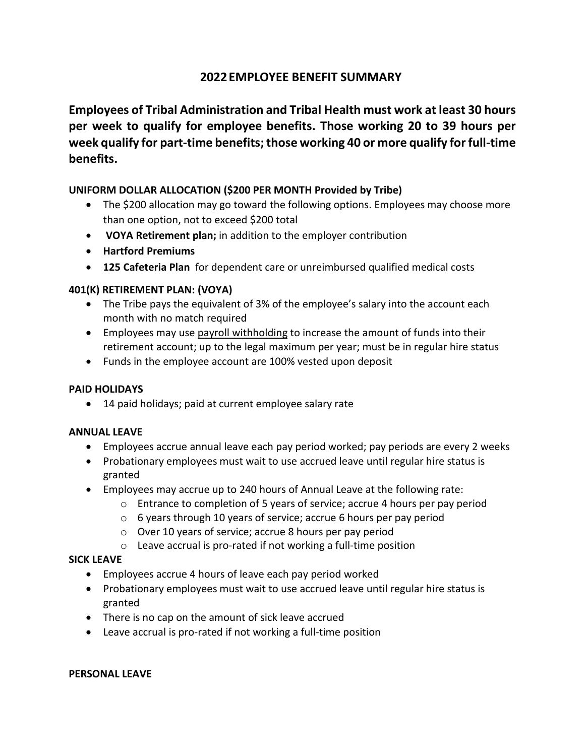# **2022EMPLOYEE BENEFIT SUMMARY**

**Employees of Tribal Administration and Tribal Health must work at least 30 hours per week to qualify for employee benefits. Those working 20 to 39 hours per week qualify for part-time benefits; those working 40 or more qualify for full-time benefits.**

#### **UNIFORM DOLLAR ALLOCATION (\$200 PER MONTH Provided by Tribe)**

- The \$200 allocation may go toward the following options. Employees may choose more than one option, not to exceed \$200 total
- **VOYA Retirement plan;** in addition to the employer contribution
- **Hartford Premiums**
- **125 Cafeteria Plan** for dependent care or unreimbursed qualified medical costs

#### **401(K) RETIREMENT PLAN: (VOYA)**

- The Tribe pays the equivalent of 3% of the employee's salary into the account each month with no match required
- Employees may use payroll withholding to increase the amount of funds into their retirement account; up to the legal maximum per year; must be in regular hire status
- Funds in the employee account are 100% vested upon deposit

### **PAID HOLIDAYS**

• 14 paid holidays; paid at current employee salary rate

#### **ANNUAL LEAVE**

- Employees accrue annual leave each pay period worked; pay periods are every 2 weeks
- Probationary employees must wait to use accrued leave until regular hire status is granted
- Employees may accrue up to 240 hours of Annual Leave at the following rate:
	- $\circ$  Entrance to completion of 5 years of service; accrue 4 hours per pay period
	- o 6 years through 10 years of service; accrue 6 hours per pay period
	- o Over 10 years of service; accrue 8 hours per pay period
	- o Leave accrual is pro-rated if not working a full-time position

### **SICK LEAVE**

- Employees accrue 4 hours of leave each pay period worked
- Probationary employees must wait to use accrued leave until regular hire status is granted
- There is no cap on the amount of sick leave accrued
- Leave accrual is pro-rated if not working a full-time position

#### **PERSONAL LEAVE**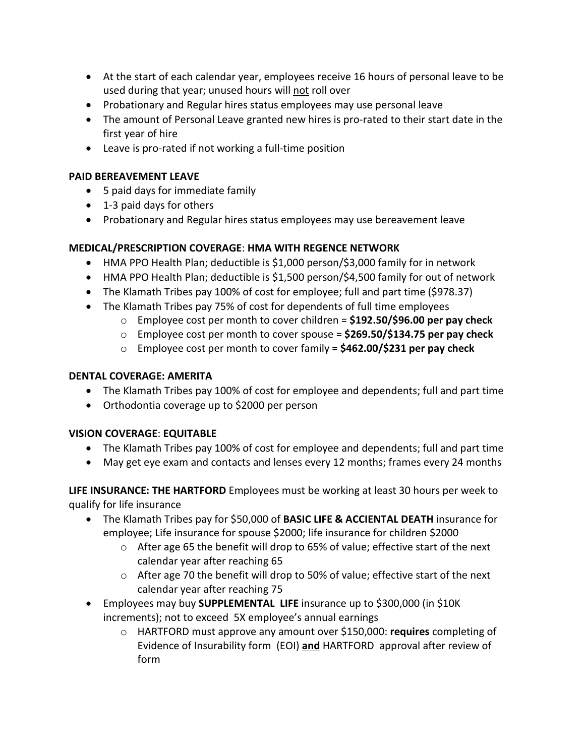- At the start of each calendar year, employees receive 16 hours of personal leave to be used during that year; unused hours will not roll over
- Probationary and Regular hires status employees may use personal leave
- The amount of Personal Leave granted new hires is pro-rated to their start date in the first year of hire
- Leave is pro-rated if not working a full-time position

#### **PAID BEREAVEMENT LEAVE**

- 5 paid days for immediate family
- 1-3 paid days for others
- Probationary and Regular hires status employees may use bereavement leave

### **MEDICAL/PRESCRIPTION COVERAGE**: **HMA WITH REGENCE NETWORK**

- HMA PPO Health Plan; deductible is \$1,000 person/\$3,000 family for in network
- HMA PPO Health Plan; deductible is \$1,500 person/\$4,500 family for out of network
- The Klamath Tribes pay 100% of cost for employee; full and part time (\$978.37)
- The Klamath Tribes pay 75% of cost for dependents of full time employees
	- o Employee cost per month to cover children = **\$192.50/\$96.00 per pay check**
	- o Employee cost per month to cover spouse = **\$269.50/\$134.75 per pay check**
	- o Employee cost per month to cover family = **\$462.00/\$231 per pay check**

#### **DENTAL COVERAGE: AMERITA**

- The Klamath Tribes pay 100% of cost for employee and dependents; full and part time
- Orthodontia coverage up to \$2000 per person

### **VISION COVERAGE**: **EQUITABLE**

- The Klamath Tribes pay 100% of cost for employee and dependents; full and part time
- May get eye exam and contacts and lenses every 12 months; frames every 24 months

**LIFE INSURANCE: THE HARTFORD** Employees must be working at least 30 hours per week to qualify for life insurance

- The Klamath Tribes pay for \$50,000 of **BASIC LIFE & ACCIENTAL DEATH** insurance for employee; Life insurance for spouse \$2000; life insurance for children \$2000
	- $\circ$  After age 65 the benefit will drop to 65% of value; effective start of the next calendar year after reaching 65
	- o After age 70 the benefit will drop to 50% of value; effective start of the next calendar year after reaching 75
- Employees may buy **SUPPLEMENTAL LIFE** insurance up to \$300,000 (in \$10K increments); not to exceed 5X employee's annual earnings
	- o HARTFORD must approve any amount over \$150,000: **requires** completing of Evidence of Insurability form (EOI) **and** HARTFORD approval after review of form